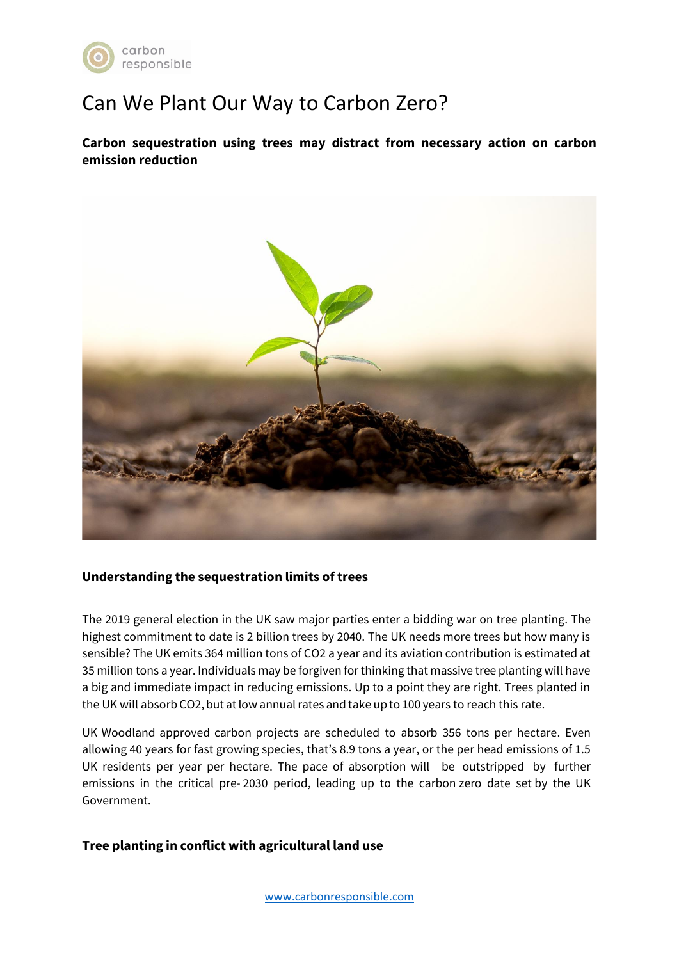

## Can We Plant Our Way to Carbon Zero?

**Carbon sequestration using trees may distract from necessary action on carbon emission reduction**



## **Understanding the sequestration limits of trees**

The 2019 general election in the UK saw major parties enter a bidding war on tree planting. The highest commitment to date is 2 billion trees by 2040. The UK needs more trees but how many is sensible? The UK emits 364 million tons of CO2 a year and its aviation contribution is estimated at 35 million tons a year. Individuals may be forgiven for thinking that massive tree planting will have a big and immediate impact in reducing emissions. Up to a point they are right. Trees planted in the UK will absorb CO2, but at low annual rates and take up to 100 years to reach this rate.

UK Woodland approved carbon projects are scheduled to absorb 356 tons per hectare. Even allowing 40 years for fast growing species, that's 8.9 tons a year, or the per head emissions of 1.5 UK residents per year per hectare. The pace of absorption will be outstripped by further emissions in the critical pre- 2030 period, leading up to the carbon zero date set by the UK Government.

## **Tree planting in conflict with agricultural land use**